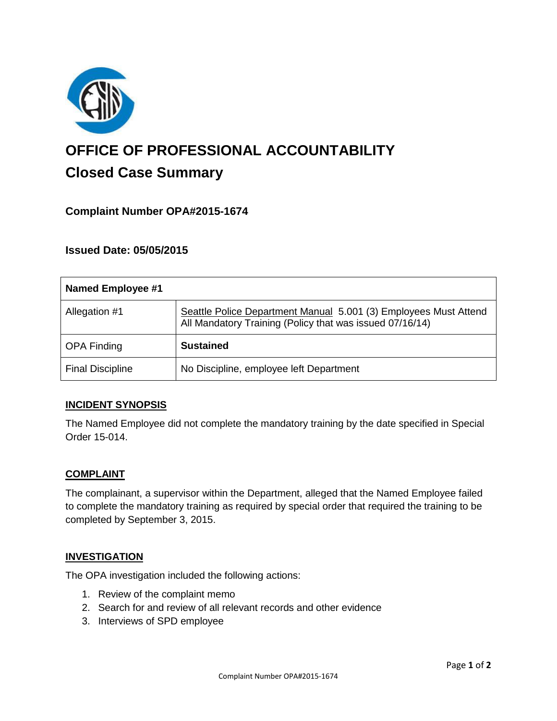

# **OFFICE OF PROFESSIONAL ACCOUNTABILITY Closed Case Summary**

# **Complaint Number OPA#2015-1674**

## **Issued Date: 05/05/2015**

| <b>Named Employee #1</b> |                                                                                                                              |
|--------------------------|------------------------------------------------------------------------------------------------------------------------------|
| Allegation #1            | Seattle Police Department Manual 5.001 (3) Employees Must Attend<br>All Mandatory Training (Policy that was issued 07/16/14) |
| <b>OPA Finding</b>       | <b>Sustained</b>                                                                                                             |
| <b>Final Discipline</b>  | No Discipline, employee left Department                                                                                      |

## **INCIDENT SYNOPSIS**

The Named Employee did not complete the mandatory training by the date specified in Special Order 15-014.

#### **COMPLAINT**

The complainant, a supervisor within the Department, alleged that the Named Employee failed to complete the mandatory training as required by special order that required the training to be completed by September 3, 2015.

#### **INVESTIGATION**

The OPA investigation included the following actions:

- 1. Review of the complaint memo
- 2. Search for and review of all relevant records and other evidence
- 3. Interviews of SPD employee